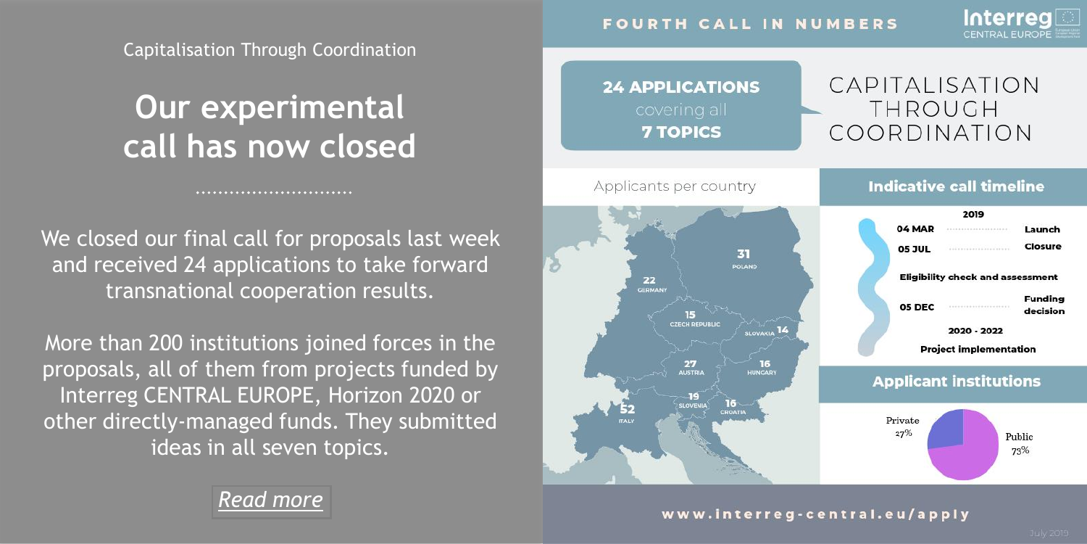Capitalisation Through Coordination

### **Our experimental call has now closed**

We closed our final call for proposals last week and received 24 applications to take forward transnational cooperation results.

More than 200 institutions joined forces in the proposals, all of them from projects funded by Interreg CENTRAL EUROPE, Horizon 2020 or other directly-managed funds. They submitted ideas in all seven topics.

CAPITALISATION **24 APPLICATIONS** THROUGH COORDINATION **7 TOPICS Indicative call timeline** Applicants per country 2019 04 MAR Launch **05 JUL** Closure 31 POLAND **Eligibility check and assessment** 22 **GERMAN Funding** 05 DEC decision CZECH DEDUBLIC SLOVAKIA<sup>14</sup> 2020 - 2022 **Project implementation**  $27$ 16 **HUNGARY Applicant institutions**  $-19$ 16 Private 27% Public 73%

### *[Read more](https://www.interreg-central.eu/Content.Node/apply/apply.html)*

www.interreg-central.eu/apply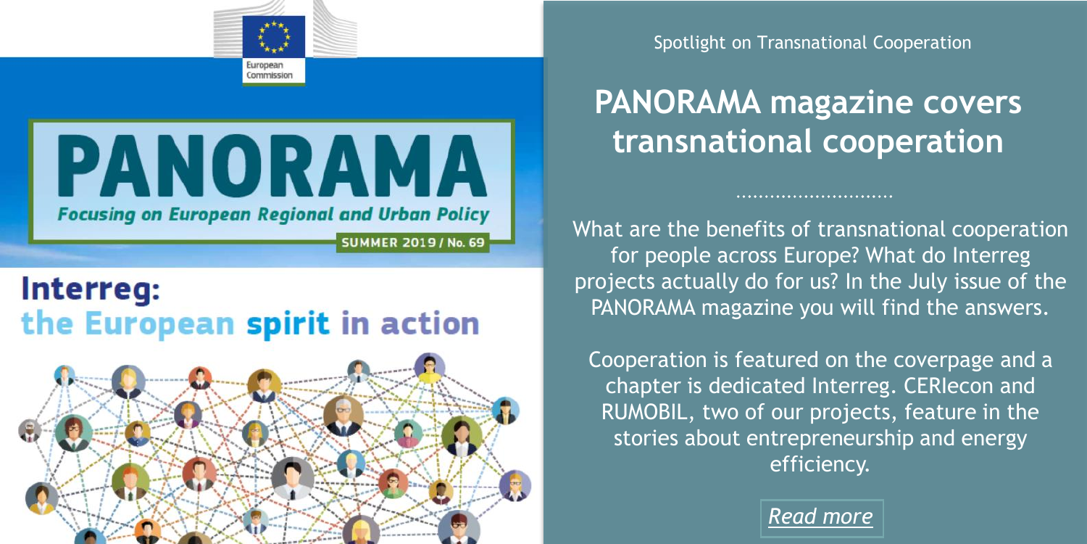



### Interreg: the European spirit in action



Spotlight on Transnational Cooperation

# **PANORAMA magazine covers transnational cooperation**

What are the benefits of transnational cooperation for people across Europe? What do Interreg projects actually do for us? In the July issue of the PANORAMA magazine you will find the answers.

Cooperation is featured on the coverpage and a chapter is dedicated Interreg. CERIecon and RUMOBIL, two of our projects, feature in the stories about entrepreneurship and energy efficiency.

*[Read more](https://www.interreg-central.eu/Content.Node/discover/Panorama69-en.pdf)*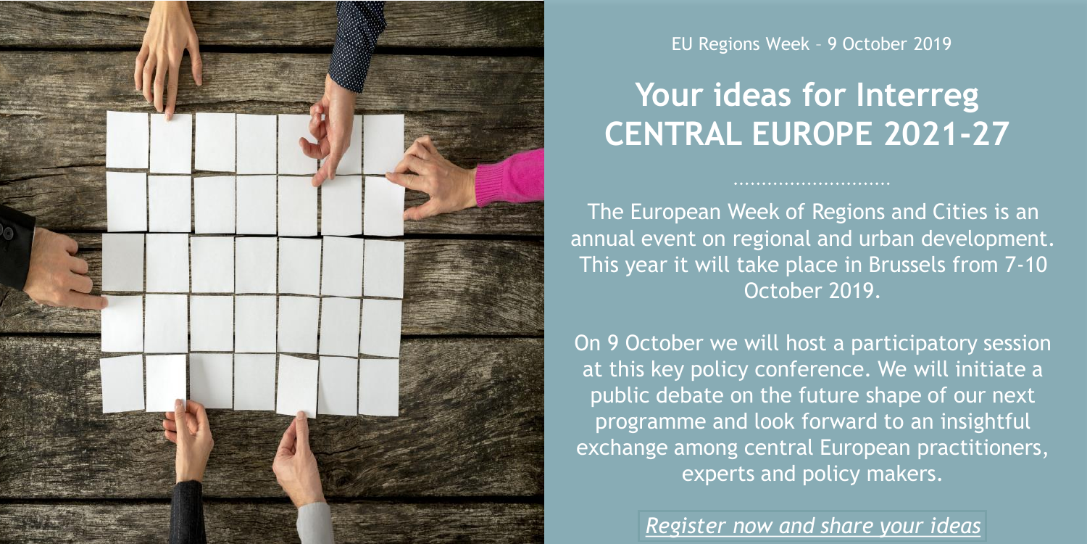

#### EU Regions Week – 9 October 2019

## **Your ideas for Interreg CENTRAL EUROPE 2021-27**

The European Week of Regions and Cities is an annual event on regional and urban development. This year it will take place in Brussels from 7-10 October 2019.

On 9 October we will host a participatory session at this key policy conference. We will initiate a public debate on the future shape of our next programme and look forward to an insightful exchange among central European practitioners, experts and policy makers.

*[Register now and share your ideas](https://europa.eu/regions-and-cities/programme/sessions/471_en)*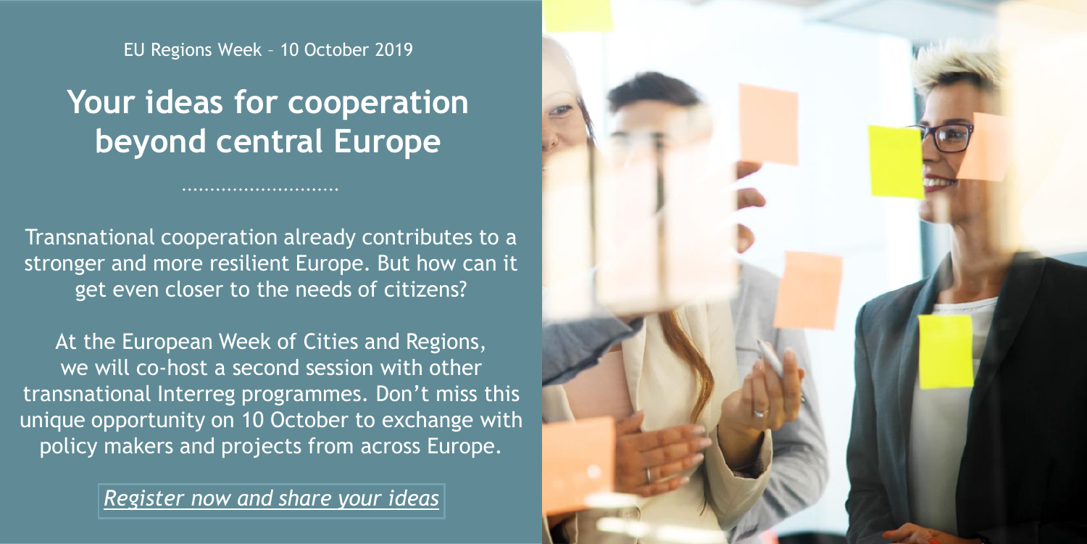EU Regions Week – 10 October 2019

## **Your ideas for cooperation beyond central Europe**

Transnational cooperation already contributes to a stronger and more resilient Europe. But how can it get even closer to the needs of citizens?

At the European Week of Cities and Regions, we will co-host a second session with other transnational Interreg programmes. Don't miss this unique opportunity on 10 October to exchange with policy makers and projects from across Europe.

*[Register now and share your ideas](https://europa.eu/regions-and-cities/programme/sessions/508_en)*